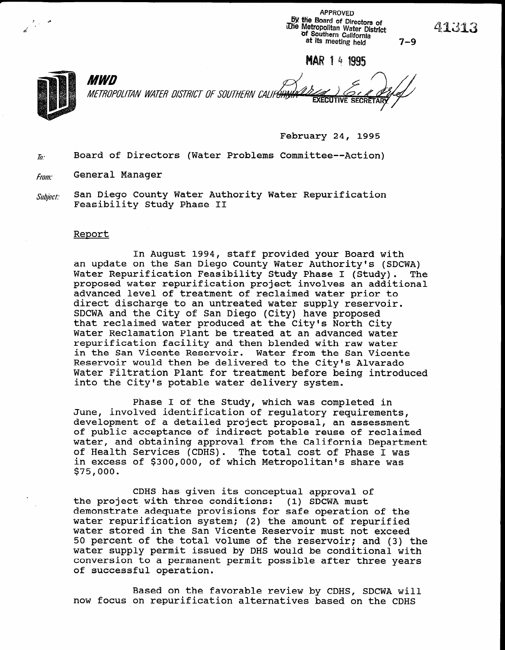APPROVED by the Board of Directors of iThe Metropolitan Water District of Southern California at its meeting held 7-9

MAR 1 4 1995



*MWD* METROPOLITAN WATER DISTRICT OF SOUTHERN CALIF<del>ÓRI,</del> **EXECUTIVE SECRE** 

February 24, 1995

 $\bar{h}$ . Board of Directors (Water Problems Committee--Action)

**From:** General Manager

 $\mathit{Subject:}\quad$  San Diego County Water Authority Water Repurification Feasibility Study Phase II

## Report

In August 1994, staff provided your Board with an update on the San Diego County Water Authority's (SDCWA) Water Repurification Feasibility Study Phase I (Study). The proposed water repurification project involves an additional advanced level of treatment of reclaimed water prior to direct discharge to an untreated water supply reserved SDCWA and the City of San Diego (City) have proposed SDCWA and the City of San Diego (City) have proposed that reclaimed water produced at the City's North City Water Reclamation Plant be treated at an advanced water repurification facility and then blended with raw water in the San Vicente Reservoir. Water from the San Vicente Reservoir would then be delivered to the City's Alvarado Water Filtration Plant for treatment before being introduced into the City's potable water delivery system.

Phase I of the Study, which was completed in  $\mathcal{I}$ Phase I of the study, which was completed in June, involved identification of regulatory requirements, development of a detailed project proposal, an assessment of public acceptance of indirect potable reuse of reclaimed water, and obtaining approval from the California Department of Health Services (CDHS). The total cost of Phase I was in excess of \$300,000, of which Metropolitan's share was<br>\$75,000.

 $C$  has given its conceptual approval of  $\mathcal{C}$  . The conceptual approval of  $\mathcal{C}$ cDHS has given its conceptual approval c the project with three conditions: (1) SDCWA must demonstrate adequate provisions for safe operation of the water repurification system; (2) the amount of repurified water stored in the San Vicente Reservoir must not exceed 50 percent of the total volume of the reservoir; and (3) the water supply permit issued by DHS would be conditional with conversion to a permanent permit possible after three years of successful operation.

Based on the favorable review by CDHS, SDCWA will now focus on repurification alternatives based on the CDHS

A 3 .